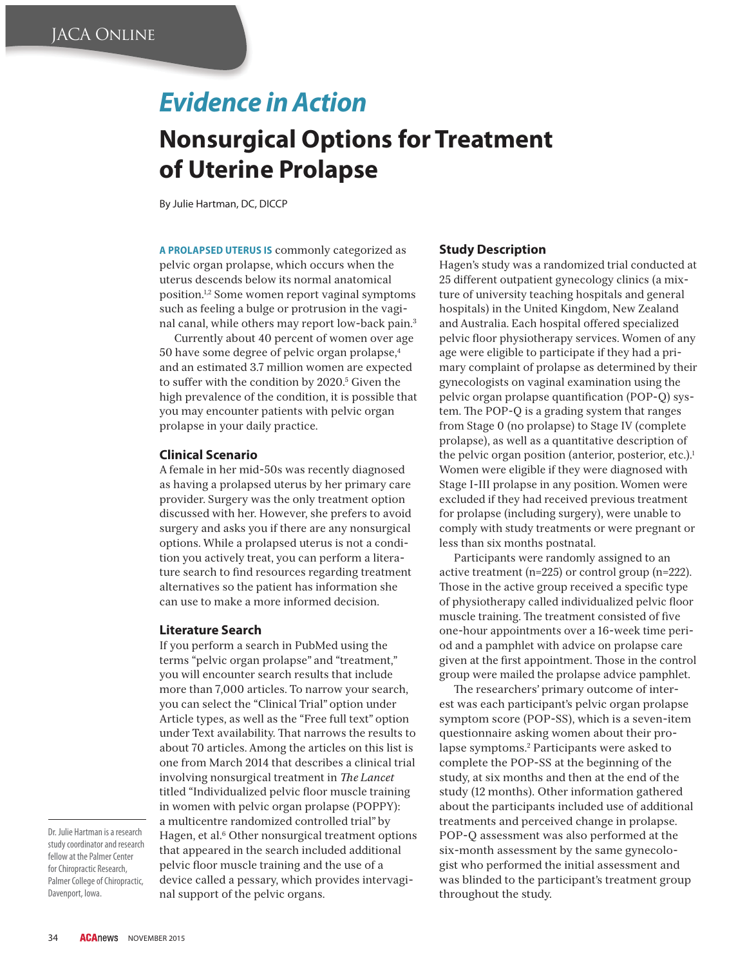# *Evidence in Action*

## **Nonsurgical Options for Treatment of Uterine Prolapse**

By Julie Hartman, DC, DICCP

**A PROLAPSED UTERUS IS** commonly categorized as pelvic organ prolapse, which occurs when the uterus descends below its normal anatomical position.1,2 Some women report vaginal symptoms such as feeling a bulge or protrusion in the vaginal canal, while others may report low-back pain.3

Currently about 40 percent of women over age 50 have some degree of pelvic organ prolapse,4 and an estimated 3.7 million women are expected to suffer with the condition by 2020.<sup>5</sup> Given the high prevalence of the condition, it is possible that you may encounter patients with pelvic organ prolapse in your daily practice.

#### **Clinical Scenario**

A female in her mid-50s was recently diagnosed as having a prolapsed uterus by her primary care provider. Surgery was the only treatment option discussed with her. However, she prefers to avoid surgery and asks you if there are any nonsurgical options. While a prolapsed uterus is not a condition you actively treat, you can perform a literature search to find resources regarding treatment alternatives so the patient has information she can use to make a more informed decision.

#### **Literature Search**

If you perform a search in PubMed using the terms "pelvic organ prolapse" and "treatment," you will encounter search results that include more than 7,000 articles. To narrow your search, you can select the "Clinical Trial" option under Article types, as well as the "Free full text" option under Text availability. That narrows the results to about 70 articles. Among the articles on this list is one from March 2014 that describes a clinical trial involving nonsurgical treatment in *The Lancet* titled "Individualized pelvic floor muscle training in women with pelvic organ prolapse (POPPY): a multicentre randomized controlled trial" by Hagen, et al.<sup>6</sup> Other nonsurgical treatment options that appeared in the search included additional pelvic floor muscle training and the use of a device called a pessary, which provides intervaginal support of the pelvic organs.

#### **Study Description**

Hagen's study was a randomized trial conducted at 25 different outpatient gynecology clinics (a mixture of university teaching hospitals and general hospitals) in the United Kingdom, New Zealand and Australia. Each hospital offered specialized pelvic floor physiotherapy services. Women of any age were eligible to participate if they had a primary complaint of prolapse as determined by their gynecologists on vaginal examination using the pelvic organ prolapse quantification (POP-Q) system. The POP-Q is a grading system that ranges from Stage 0 (no prolapse) to Stage IV (complete prolapse), as well as a quantitative description of the pelvic organ position (anterior, posterior, etc.).<sup>1</sup> Women were eligible if they were diagnosed with Stage I-III prolapse in any position. Women were excluded if they had received previous treatment for prolapse (including surgery), were unable to comply with study treatments or were pregnant or less than six months postnatal.

Participants were randomly assigned to an active treatment (n=225) or control group (n=222). Those in the active group received a specific type of physiotherapy called individualized pelvic floor muscle training. The treatment consisted of five one-hour appointments over a 16-week time period and a pamphlet with advice on prolapse care given at the first appointment. Those in the control group were mailed the prolapse advice pamphlet.

The researchers' primary outcome of interest was each participant's pelvic organ prolapse symptom score (POP-SS), which is a seven-item questionnaire asking women about their prolapse symptoms.2 Participants were asked to complete the POP-SS at the beginning of the study, at six months and then at the end of the study (12 months). Other information gathered about the participants included use of additional treatments and perceived change in prolapse. POP-Q assessment was also performed at the six-month assessment by the same gynecologist who performed the initial assessment and was blinded to the participant's treatment group throughout the study.

Dr. Julie Hartman is a research study coordinator and research fellow at the Palmer Center for Chiropractic Research, Palmer College of Chiropractic, Davenport, Iowa.